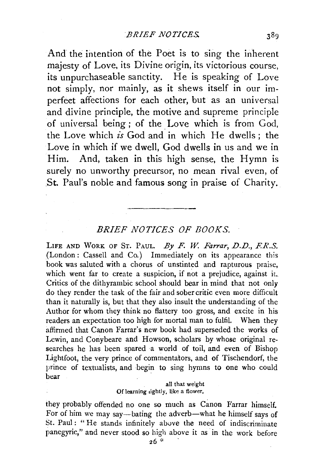And the intention of the Poet is to sing the inherent majesty of Love, its Divine origin, its victorious course, its unpurchaseable sanctity. He is speaking of Love not simply, nor mainly, as it shews itself in our imperfect affections for each other, but as an universal and divine principle, the motive and supreme principle of universal being ; of the Love which is from God, the Love which *is* God and in which He dwells ; the Love in which if we dwell, God dwells in us and we in Him. And, taken in this high sense, the Hymn is surely no unworthy precursor, no mean rival even, of St. Paul's noble and famous song in praise of Charity.

## *BRIEF NOTICES OF BOOKS.*

LIFE AND WoRK OF ST. PAUL. *By* F. *W. Farrar, D.D., F.R.S.*  (London : Cassell and Co.) Immediately on its appearance this book was saluted with a chorus of unstinted and rapturous praise, which went far to create a suspicion, if not a prejudice, against it. Critics of the dithyrambic school should bear in mind that not only do they render the task of the fair and sober critic even more difficult than it naturally is, but that they also insult the understanding of the Author for whom they think no flattery too gross, and excite in his readers an expectation too high for mortal man to fulfil. When they affirmed that Canon Farrar's new book had superseded the works of Lewin, and Conybeare and Howson, scholars by whose original researches he has been spared a world of toil, and even of Bishop Lightfoot, the very prince of commentators, and of Tischendorf, the prince of textualists, and begin to sing hymns to one who could bear

## all that weight Oflearning tightly, like a flower,

they probably offended no one so much as Canon Farrar himself. For of him we may say—bating the adverb—what he himself says of St. Paul: "He stands infinitely above the need of indiscriminate panegyric," and never stood so high above it as in the work before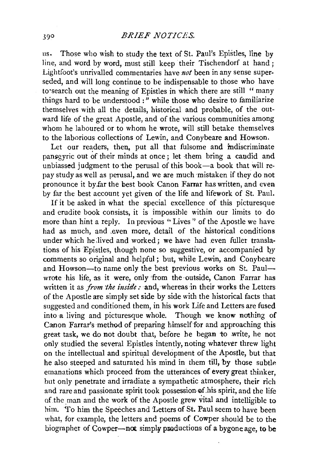us. Those who wish to study the text of St. Paul's Epistles, line by line, and word by word, must still keep their Tischendorf at hand; Lightfoot's unrivalled commentaries have *not* been in any sense superseded, and will long continue to be indispensable to those who have to search out the meaning of Epistles in which there are still "many things hard to be understood  $:$  " while those who desire to familiarize themselves with all the details, historical and probable, of the outward life of the great Apostle, and of the various communities among whom he laboured or to whom he wrote, will still betake themselves to the laborious collections of Lewin, and Conybeare and Howson.

Let our readers, then, put all that fulsome and indiscriminate pansayric out of their minds at once; let them bring a caudid and unbiassed judgment to the perusal of this book-a book that will repay study as well as perusal, and we are much mistaken if they do not pronounce it by Jar the best book Canon Farrar has written, and even by far the best account yet given of the life and lifework of St. Paul.

If it be asked in what the special excellence of this picturesque and erudite book consists, it is impossible within our limits to do more than hint a reply. In previous "Lives" of the Apostle we have had as much, and even more, detail of the historical conditions under which he lived and worked; we have had even fuller translations of his Epistles, though none so suggestive, or accompanied by comments so original and helpful; but, while Lewin, and Conybeare and Howson—to name only the best previous works on St. Paul wrote his life, as it were, only from the outside, Canon Farrar has written it as *from the inside*: and, whereas in their works the Letters of the Apostle are simply set side by side with the historical facts that suggested and conditioned them, in his work Life and Letters are fused into a living and picturesque whole. Though we know nothing of Canon Farrar's method of preparing himself for and approaching this great task, we do not doubt that, before he began 'to write, he not orily studied the several Epistles intently, noting whatever threw light on the intellectual and spiritual development of the Apostle, but that he also steeped and saturated his mind in them till, by those subtle emanations which proceed from the utterances of every great thinker, but only penetrate and irradiate a sympathetic atmosphere, their rich and rare and passionate spirit took possession of his spirit, and the life of. the man and the work of the Apostle grew vital and intelligible to him. To him the Speeches and 'Letters of St. Paul seem to have been what, for example, the letters and poems of Cowper should be to the biographer of  $\overline{Cowper}$ -not simply productions of a bygone age, to be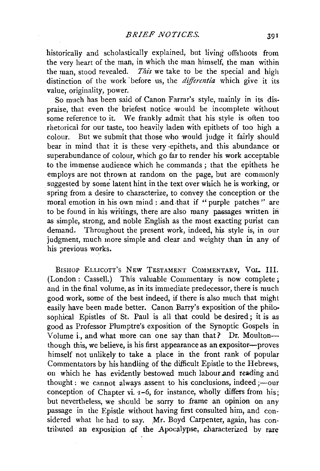historically and scholastically explained, but living offshoots from the very heart of the man, in which the man himself, the man within the man, stood revealed. *This* we take to be the special and high distinction of the work before us, the *differentia* which give it its value, originality, power.

So much has been said of Canon Farrar's style, mainly in its dispraise, that even the briefest notice would be incomplete without some reference to it. We frankly admit that his style is often too rhetorical for our taste, too heavily laden with epithets of too high a colour. But we submit that those who would judge it fairly should bear in mind that it is these very ·epithets, and this abundance or superabundance of colour, which go far to render his work acceptable to the immense audience which he commands; that the epithets he employs are not thrown at random on the page, but are commonly suggested by some latent hint in the text over which he is working, or spring from a desire to characterize, to convey the conception or the moral emotion in his own mind : and that if "purple patches" are to be found in his writings, there are also many passages written in as simple, strong, and noble English as the most exacting purist can demand. Throughout the present work, indeed, his style is, in our judgment, much more simple and clear and weighty than in any of his previous works.

BISHOP ELLICOTT's NEW TESTAMENT COMMENTARY, VOL Ill. (London : Cassell.) This valuable Commentary is now complete ; and in the final volume, as in its immediate predecessor, there is much good work, some of the best indeed, if there is also much that might easily have been made better. Canon Barry's exposition of the philosophical Epistles of St. Paul is all that could be desired; it is as good as Professor Plumptre's exposition of the Synoptic Gospels in Volume i., and what more can one say than that? Dr. Moultonthough this, we believe, is his first appearance as an expositor----proves himself not unlikely to take a place in the front rank of popular Commentators by his handling of the difficult Epistle to the Hebrews, on which he has evidently bestowed much labour and reading and thought: we cannot always assent to his conclusions, indeed  $:$  ---our conception of Chapter vi. 1-6, for instance, wholly differs from his: but nevertheless, we should be sorry to frame an opinion on any passage in the Epistle without having first consulted him, and considered what he had to say. Mr. Boyd Carpenter, again, has contributed an exposition of the Apocalypse, characterized by rare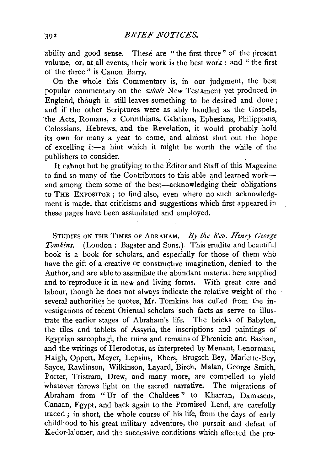ability and good sense. These are "the first three" of the present volume, or, at all events, their work is the best work : and " the first of the three " is Canon Barry.

On the whole this Commentary is, in our judgment, the best popular commentary on the *whole* New Testament yet produced in England, though it still leaves something to be desired and done; and if the other Scriptures were as ably handled as the Gospels, the Acts, Romans, 2 Corinthians, Galatians, Ephesians, Philippians, Colossians, Hebrews, and the Revelation, it would probably hold its own for many a year to come, and almost shut out the hope of excelling it-a hint which it might be worth the while of the publishers to consider.

It cahnot but be gratifying to the Editor and Staff of this Magazine to find so many of the Contributors to this able and learned workand among them some of the best--acknowledging their obligations to THE ExPoSIToR ; to find also, even where no such acknowledgment is made, that criticisms and suggestions which first appeared in these pages have been assimilated and employed.

STUDIES ON THE TIMES OF ABRAHAM. *By the Rev. Henry George Tomkins.* (London: Bagster and Sons.) This erudite and beautiful book is a book for scholars, and especially for those of them who have the gift of a creative or constructive imagination, denied to the Author, and are able to assimilate the abundant material here supplied and to reproduce it in new and living forms. With great care and labour, though he does not always indicate the relative weight of the several authorities he quotes, Mr. Tomkins has culled from the investigations of recent Oriental scholars such facts as serve to illustrate the earlier stages of Abraham's life. The bricks of Babylon, the tiles and tablets of Assyria, the inscriptions and paintings of Egyptian sarcophagi, the ruins and remains of Phœnicia and Bashan, and the writings of Herodotus, as interpreted by Menant, Lenormant, Haigh, Oppert, Meyer, Lepsius, Ebers, Brugsch-Bey, Mariette-Bey, Sayee, Rawlinson, Wilkinson, Layard, Birch, Malan, George Smith, Porter, Tristram, Drew, and many more, are compelled to yield whatever throws light on the sacred narrative. The migrations of Abraham from "Ur of the Chaldees" to Kharran, Damascus, Canaan, Egypt, and back again to the Promised Land, are carefully traced; in short, the whole course of his life, from the days of early childhood to his great military adventure, the pursuit and defeat of Kedor-la'omer, and the successive cor.ditions which affected the pro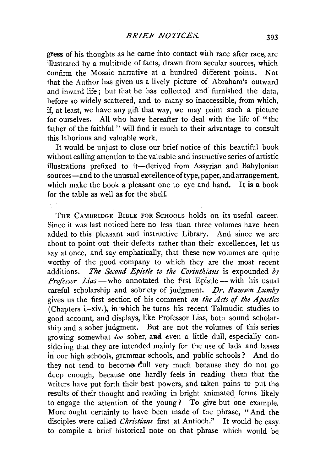gress of his thoughts as he came into contact with race after race, are illustrated by a multitude of facts, drawn from secular sources, which confirm the Mosaic narrative at a hundred different points. Not that the Author has given us a lively picture of Abraham's outward and inward life; but that he has collected and furnished the data, before so widely scattered, and to many so inaccessible, from which, if, at least, we have any gift that way, we may paint such a picture for ourselves. All who have hereafter to deal with the life of "the father of the faithful " will find it much to their advantage to consult this laborious and valuable work.

It would be unjust to close our brief notice of this beautiful book without calling attention to the valuable and instructive series of artistic illustrations prefixed to it-derived from Assyrian and Babylonian sources—and to the unusual excellence of type, paper, and arrangement, which make the book a pleasant one to eve and hand. It is a book which make the book a pleasant one to eye and hand. for the table as well as for the shelf.

THE CAMBRIDGE BIBLE FOR ScHOOLS holds on its useful career. Since it was last noticed here no less than three volumes have been added to this pleasant and instructive Library. And since we are about to point out their defects rather than their excellences, let us say at once, and say emphatically, that these new volumes are quite worthy of the good company to which they are the most recent additions. *The Second Epistle to the Corinthians* is expounded *by Professor Lias* — who annotated the first Epistle — with his usual careful scholarship and sobriety of judgment. *Dr. Rawson Lumby*  gives us the first section of his comment *on the Acts of the Apostles*  (Chapters i.-xiv.), in which he turns his recent Talmudic studies to good account, and displays, like Professor Lias, both sound scholarship and a sober judgment. But are not the volumes of this series growing somewhat *too* sober, and even a little dull, especially considering that they are intended mainly for the use of lads and lasses in our high schools, grammar schools, and public schools ? And do they not tend to become dull very much because they do not go deep enough, because one hardly feels in reading them that the writers have put forth their best powers, and taken pains to put the results of their thought and reading in bright animated forms likely to engage the attention of the young? To give but one example. More ought certainly to have been made of the phrase, "And the disciples were called *Christians* first at Antioch." It would be easy to compile a brief historical note on that phrase which would be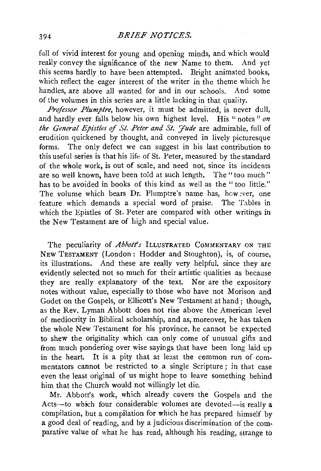## <sup>394</sup>*BRIEF NOTICES.*

full of vivid interest for young and opening minds, and which would really convey the significance of the new Name to them. And yet this seems hardly. to have been attempted. Bright animated books, which reflect the eager interest of the writer in the theme which he handles, are above all wanted for and in our schools. And some of the volumes in this series are a little lacking in that quality.

*Professor Plumptre,* however, it must be admitted, is never dull, and hardly ever falls below his own highest level. His "notes" on *the General Epistles of St. Peter and St. 'Jude* are admirable, full of erudition quickened by thought, and conveyed in lively picturesque forms. The only defect we can suggest in his last contribution to this useful series is that his life of St. Peter, measured by the standard of the whole work, is out of scale, and need not, since its incidents are so well known, have been told at such length. The" too much" has to be avoided in books of this kind as well as the " too little." The volume which bears Dr. Plumptre's name has, how ever, one feature which demands a special word of praise. The Tables in which the Epistles of St. Peter are compared with other writings in the New Testament are of high and special value.

The peculiarity of *Abbott's* ILLUSTRATED COMMENTARY ON THE NEw TESTAMENT (London: Hodder and Stoughton), is, of course, its illustrations. And these are really very helpful, since they are evidently selected not so much for their artistic qualities as because they are really explanatory of the text. Nor are the expository notes without value, especially to those who have not Morison and Godet on the Gospels, or Ellicott's New Testament at hand; though, as the Rev. Lyman Abbott does not rise above the American level of mediocrity in Biblical scholarship, and as, moreover, he has taken the whole New Testament for his province, he cannot be expected to shew the originality which can only come of unusual gifts and from much pondering over wise sayings that have been long laid up in the heart. It is a pity that at least the common run of commentators cannot be restricted to a single Scripture; in that case even the least original of us might hope to leave something behind him that the Church would not willingly let die.

Mr. Abbott's work, which already covers the Gospels and the Acts-to which four considerable volumes are devoted-is really a compilation, but a compilation for which he has prepared himself by a good deal of reading, and by a judicious discrimination of the comparative value of what he has read, although his reading, strange to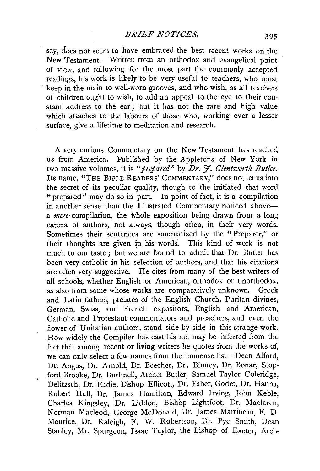say, does not seem to have embraced the best recent works on the New Testament. Written from an orthodox and evangelical point of view, and following for the most part the commonly accepted readings, his work is likely to be very useful to teachers, who must keep in the main to well-worn grooves, and who wish, as all teachers of children ought to wish, to add an appeal to the eye to their constant address to the ear ; but it has not the rare and high value which attaches to the labours of those who, working over a lesser surface, give a lifetime to meditation and research.

A very curious Commentary on the New Testament has reached us from America. Published by the Appletons of New York in two massive volumes, it is "*prepared*" by *Dr. 7. Glentworth Butler.* Its name, "THE BIBLE READERS' COMMENTARY," does not let us into the secret of its peculiar quality, though to the initiated that word "prepared" may do so in part. In point of fact, it is a compilation in another sense than the Illustrated Commentary noticed abovea *mere* compilation, the whole exposition being drawn from a long catena of authors, not always, though often, in their very words. Sometimes their sentences are summarized by the "Preparer," or their thoughts are given in his words. This kind of work is not much to our taste; but we are bound to admit that Dr. Butler has been very catholic in his selection of authors, and that his citations are often very suggestive. He cites from many of the best writers of all schools, whether English or American, orthodox or unorthodox, as also from some whose works are comparatively unknown. Greek and Latin fathers, prelates of the English Church, Puritan divines, German, Swiss, and French expositors, English and American, Catholic and Protestant commentators and preachers, and even the flower of Unitarian authors, stand side by side in this strange work. How widely the Compiler has cast his net may be inferred from the fact that among recent or living writers he quotes from the works of, we can only select a few names from the immense list-Dean Alford, Dr. Angus, Dr. Arnold, Dr. Beecher, Dr. Binney, Dr. Bonar, Stopford Brooke, Dr. Bushnell, Archer Butler, Samuel Taylor Coleridge, Delitzsch, Dr. Eadie, Bishop Ellicott, Dr. Faber, Godet, Dr. Hanna, Robert Hall, Dr. James Hamilton, Edward Irving, John Keble, Charles Kingsley, Dr. Liddon, Bishop Lightfoot, Dr. Maclaren, Norman Macleod, George McDonald, Dr. James Martineau, F. D. Maurice, Dr. Raleigh, F. W. Robertson, Dr. Pye Smith, Dean Stanley, Mr. Spurgeon, Isaac Taylor, the Bishop of Exeter, Arch-